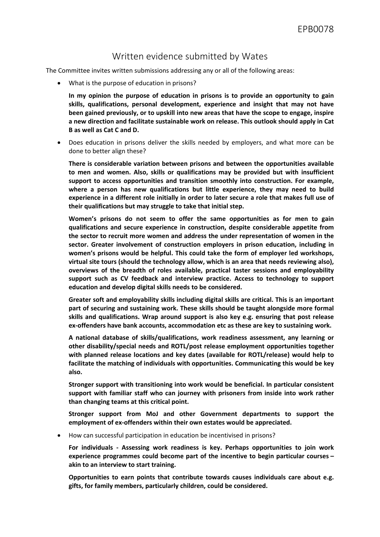## Written evidence submitted by Wates

The Committee invites written submissions addressing any or all of the following areas:

What is the purpose of education in prisons?

**In my opinion the purpose of education in prisons is to provide an opportunity to gain skills, qualifications, personal development, experience and insight that may not have been gained previously, or to upskill into new areas that have the scope to engage, inspire a new direction and facilitate sustainable work on release. This outlook should apply in Cat B as well as Cat C and D.**

 Does education in prisons deliver the skills needed by employers, and what more can be done to better align these?

**There is considerable variation between prisons and between the opportunities available to men and women. Also, skills or qualifications may be provided but with insufficient support to access opportunities and transition smoothly into construction. For example, where a person has new qualifications but little experience, they may need to build experience in a different role initially in order to later secure a role that makes full use of their qualifications but may struggle to take that initial step.**

**Women's prisons do not seem to offer the same opportunities as for men to gain qualifications and secure experience in construction, despite considerable appetite from the sector to recruit more women and address the under representation of women in the sector. Greater involvement of construction employers in prison education, including in women's prisons would be helpful. This could take the form of employer led workshops, virtual site tours (should the technology allow, which is an area that needs reviewing also), overviews of the breadth of roles available, practical taster sessions and employability support such as CV feedback and interview practice. Access to technology to support education and develop digital skills needs to be considered.**

**Greater soft and employability skills including digital skills are critical. This is an important part of securing and sustaining work. These skills should be taught alongside more formal skills and qualifications. Wrap around support is also key e.g. ensuring that post release ex-offenders have bank accounts, accommodation etc as these are key to sustaining work.**

**A national database of skills/qualifications, work readiness assessment, any learning or other disability/special needs and ROTL/post release employment opportunities together with planned release locations and key dates (available for ROTL/release) would help to facilitate the matching of individuals with opportunities. Communicating this would be key also.**

**Stronger support with transitioning into work would be beneficial. In particular consistent support with familiar staff who can journey with prisoners from inside into work rather than changing teams at this critical point.**

**Stronger support from MoJ and other Government departments to support the employment of ex-offenders within their own estates would be appreciated.** 

How can successful participation in education be incentivised in prisons?

**For individuals - Assessing work readiness is key. Perhaps opportunities to join work experience programmes could become part of the incentive to begin particular courses – akin to an interview to start training.**

**Opportunities to earn points that contribute towards causes individuals care about e.g. gifts, for family members, particularly children, could be considered.**